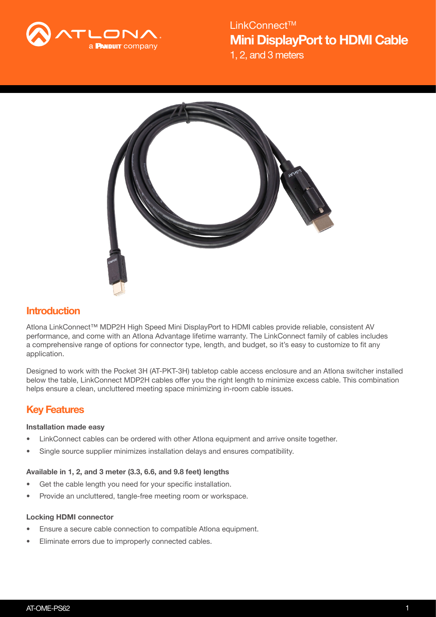

1, 2, and 3 meters Mini DisplayPort to HDMI Cable LinkConnect<sup>™</sup>



# **Introduction**

Atlona LinkConnect™ MDP2H High Speed Mini DisplayPort to HDMI cables provide reliable, consistent AV performance, and come with an Atlona Advantage lifetime warranty. The LinkConnect family of cables includes a comprehensive range of options for connector type, length, and budget, so it's easy to customize to fit any application.

Designed to work with the Pocket 3H (AT-PKT-3H) tabletop cable access enclosure and an Atlona switcher installed below the table, LinkConnect MDP2H cables offer you the right length to minimize excess cable. This combination helps ensure a clean, uncluttered meeting space minimizing in-room cable issues.

# Key Features

## Installation made easy

- LinkConnect cables can be ordered with other Atlona equipment and arrive onsite together.
- Single source supplier minimizes installation delays and ensures compatibility.

### Available in 1, 2, and 3 meter (3.3, 6.6, and 9.8 feet) lengths

- Get the cable length you need for your specific installation.
- Provide an uncluttered, tangle-free meeting room or workspace.

### Locking HDMI connector

- Ensure a secure cable connection to compatible Atlona equipment.
- Eliminate errors due to improperly connected cables.